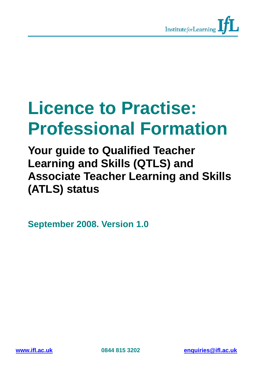

# **Licence to Practise: Professional Formation**

**Your guide to Qualified Teacher Learning and Skills (QTLS) and Associate Teacher Learning and Skills (ATLS) status** 

**September 2008. Version 1.0**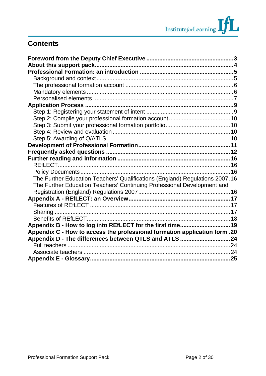# **Contents**

| The Further Education Teachers' Qualifications (England) Regulations 2007.16 |  |
|------------------------------------------------------------------------------|--|
| The Further Education Teachers' Continuing Professional Development and      |  |
|                                                                              |  |
|                                                                              |  |
|                                                                              |  |
|                                                                              |  |
|                                                                              |  |
| Appendix B - How to log into REfLECT for the first time 19                   |  |
| Appendix C - How to access the professional formation application form.20    |  |
| Appendix D - The differences between QTLS and ATLS 24                        |  |
|                                                                              |  |
|                                                                              |  |
|                                                                              |  |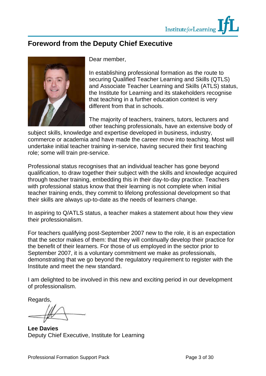

# <span id="page-2-0"></span>**Foreword from the Deputy Chief Executive**



Dear member,

In establishing professional formation as the route to securing Qualified Teacher Learning and Skills (QTLS) and Associate Teacher Learning and Skills (ATLS) status, the Institute for Learning and its stakeholders recognise that teaching in a further education context is very different from that in schools.

The majority of teachers, trainers, tutors, lecturers and other teaching professionals, have an extensive body of

subject skills, knowledge and expertise developed in business, industry, commerce or academia and have made the career move into teaching. Most will undertake initial teacher training in-service, having secured their first teaching role; some will train pre-service.

Professional status recognises that an individual teacher has gone beyond qualification, to draw together their subject with the skills and knowledge acquired through teacher training, embedding this in their day-to-day practice. Teachers with professional status know that their learning is not complete when initial teacher training ends, they commit to lifelong professional development so that their skills are always up-to-date as the needs of learners change.

In aspiring to Q/ATLS status, a teacher makes a statement about how they view their professionalism.

For teachers qualifying post-September 2007 new to the role, it is an expectation that the sector makes of them: that they will continually develop their practice for the benefit of their learners. For those of us employed in the sector prior to September 2007, it is a voluntary commitment we make as professionals, demonstrating that we go beyond the regulatory requirement to register with the Institute and meet the new standard.

I am delighted to be involved in this new and exciting period in our development of professionalism.

Regards,

**Lee Davies**  Deputy Chief Executive, Institute for Learning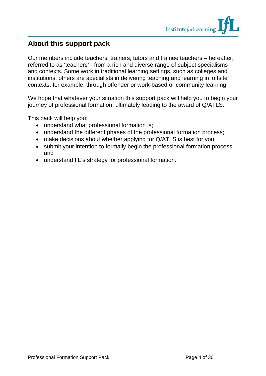

# **About this support pack**

Our members include teachers, trainers, tutors and trainee teachers – hereafter, referred to as 'teachers' - from a rich and diverse range of subject specialisms and contexts. Some work in traditional learning settings, such as colleges and institutions, others are specialists in delivering teaching and learning in 'offsite' contexts, for example, through offender or work-based or community learning.

We hope that whatever your situation this support pack will help you to begin your journey of professional formation, ultimately leading to the award of Q/ATLS.

This pack will help you:

- understand what professional formation is;
- understand the different phases of the professional formation process;
- make decisions about whether applying for Q/ATLS is best for you;
- submit your intention to formally begin the professional formation process; and
- understand IfL's strategy for professional formation.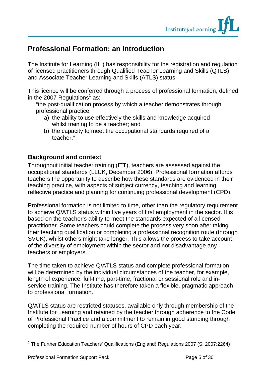

# <span id="page-4-0"></span>**Professional Formation: an introduction**

The Institute for Learning (IfL) has responsibility for the registration and regulation of licensed practitioners through Qualified Teacher Learning and Skills (QTLS) and Associate Teacher Learning and Skills (ATLS) status.

This licence will be conferred through a process of professional formation, defined in the 2007 Regulations $^1$  as:

"the post-qualification process by which a teacher demonstrates through professional practice:

- a) the ability to use effectively the skills and knowledge acquired whilst training to be a teacher; and
- b) the capacity to meet the occupational standards required of a teacher."

# **Background and context**

Throughout initial teacher training (ITT), teachers are assessed against the occupational standards (LLUK, December 2006). Professional formation affords teachers the opportunity to describe how these standards are evidenced in their teaching practice, with aspects of subject currency, teaching and learning, reflective practice and planning for continuing professional development (CPD).

Professional formation is not limited to time, other than the regulatory requirement to achieve Q/ATLS status within five years of first employment in the sector. It is based on the teacher's ability to meet the standards expected of a licensed practitioner. Some teachers could complete the process very soon after taking their teaching qualification or completing a professional recognition route (through SVUK), whilst others might take longer. This allows the process to take account of the diversity of employment within the sector and not disadvantage any teachers or employers.

The time taken to achieve Q/ATLS status and complete professional formation will be determined by the individual circumstances of the teacher, for example, length of experience, full-time, part-time, fractional or sessional role and inservice training. The Institute has therefore taken a flexible, pragmatic approach to professional formation.

Q/ATLS status are restricted statuses, available only through membership of the Institute for Learning and retained by the teacher through adherence to the Code of Professional Practice and a commitment to remain in good standing through completing the required number of hours of CPD each year.

 $\overline{a}$ 

<sup>&</sup>lt;sup>1</sup> The Further Education Teachers' Qualifications (England) Regulations 2007 (SI 2007:2264)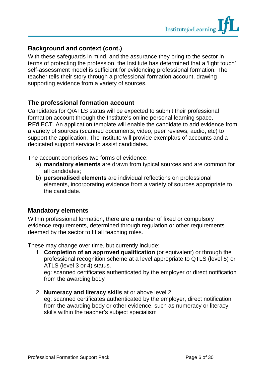

### <span id="page-5-0"></span>**Background and context (cont.)**

With these safeguards in mind, and the assurance they bring to the sector in terms of protecting the profession, the Institute has determined that a 'light touch' self-assessment model is sufficient for evidencing professional formation. The teacher tells their story through a professional formation account, drawing supporting evidence from a variety of sources.

#### **The professional formation account**

Candidates for Q/ATLS status will be expected to submit their professional formation account through the Institute's online personal learning space, RE*f*LECT. An application template will enable the candidate to add evidence from a variety of sources (scanned documents, video, peer reviews, audio, etc) to support the application. The Institute will provide exemplars of accounts and a dedicated support service to assist candidates.

The account comprises two forms of evidence:

- a) **mandatory elements** are drawn from typical sources and are common for all candidates;
- b) **personalised elements** are individual reflections on professional elements, incorporating evidence from a variety of sources appropriate to the candidate.

### **Mandatory elements**

Within professional formation, there are a number of fixed or compulsory evidence requirements, determined through regulation or other requirements deemed by the sector to fit all teaching roles.

These may change over time, but currently include:

1. **Completion of an approved qualification** (or equivalent) or through the professional recognition scheme at a level appropriate to QTLS (level 5) or ATLS (level 3 or 4) status.

eg: scanned certificates authenticated by the employer or direct notification from the awarding body

2. **Numeracy and literacy skills** at or above level 2.

eg: scanned certificates authenticated by the employer, direct notification from the awarding body or other evidence, such as numeracy or literacy skills within the teacher's subject specialism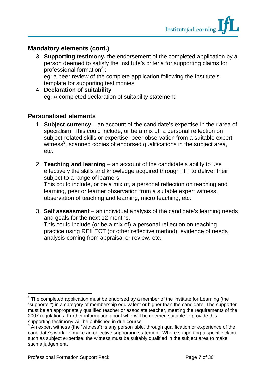### <span id="page-6-0"></span>**Mandatory elements (cont.)**

- 3. **Supporting testimony,** the endorsement of the completed application by a person deemed to satisfy the Institute's criteria for supporting claims for professional formation<sup>2</sup>,: eg: a peer review of the complete application following the Institute's
- template for supporting testimonies 4. **Declaration of suitability**

### eg: A completed declaration of suitability statement.

### **Personalised elements**

- 1. **Subject currency** an account of the candidate's expertise in their area of specialism. This could include, or be a mix of, a personal reflection on subject-related skills or expertise, peer observation from a suitable expert witness<sup>3</sup>, scanned copies of endorsed qualifications in the subject area, etc.
- 2. **Teaching and learning** an account of the candidate's ability to use effectively the skills and knowledge acquired through ITT to deliver their subject to a range of learners This could include, or be a mix of, a personal reflection on teaching and

learning, peer or learner observation from a suitable expert witness, observation of teaching and learning, micro teaching, etc.

3. **Self assessment** – an individual analysis of the candidate's learning needs and goals for the next 12 months. This could include (or be a mix of) a personal reflection on teaching practice using REfLECT (or other reflective method), evidence of needs analysis coming from appraisal or review, etc.

 $\overline{a}$ 

 $2$  The completed application must be endorsed by a member of the Institute for Learning (the "supporter") in a category of membership equivalent or higher than the candidate. The supporter must be an appropriately qualified teacher or associate teacher, meeting the requirements of the 2007 regulations. Further information about who will be deemed suitable to provide this supporting testimony will be published in due course.

 $3$  An expert witness (the "witness") is any person able, through qualification or experience of the candidate's work, to make an objective supporting statement. Where supporting a specific claim such as subject expertise, the witness must be suitably qualified in the subject area to make such a judgement.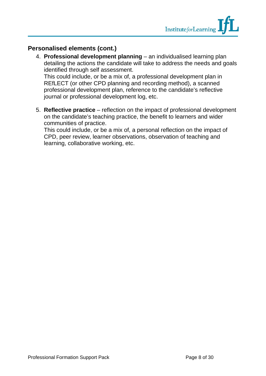### **Personalised elements (cont.)**

4. **Professional development planning** – an individualised learning plan detailing the actions the candidate will take to address the needs and goals identified through self assessment. This could include, or be a mix of, a professional development plan in

REfLECT (or other CPD planning and recording method), a scanned professional development plan, reference to the candidate's reflective journal or professional development log, etc.

5. **Reflective practice** – reflection on the impact of professional development on the candidate's teaching practice, the benefit to learners and wider communities of practice.

This could include, or be a mix of, a personal reflection on the impact of CPD, peer review, learner observations, observation of teaching and learning, collaborative working, etc.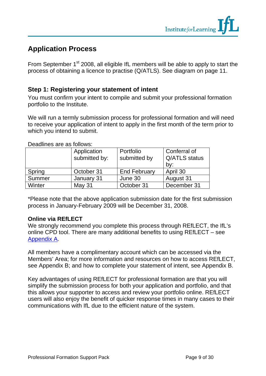# <span id="page-8-0"></span>**Application Process**

From September 1<sup>st</sup> 2008, all eligible IfL members will be able to apply to start the process of obtaining a licence to practise (Q/ATLS). See diagram on page 11.

# **Step 1: Registering your statement of intent**

You must confirm your intent to compile and submit your professional formation portfolio to the Institute.

We will run a termly submission process for professional formation and will need to receive your application of intent to apply in the first month of the term prior to which you intend to submit.

|        | Application<br>submitted by: | Portfolio<br>submitted by | Conferral of<br>Q/ATLS status<br>by: |
|--------|------------------------------|---------------------------|--------------------------------------|
| Spring | October 31                   | <b>End February</b>       | April 30                             |
| Summer | January 31                   | June 30                   | August 31                            |
| Winter | May 31                       | October 31                | December 31                          |

Deadlines are as follows:

\*Please note that the above application submission date for the first submission process in January-February 2009 will be December 31, 2008.

#### **Online via REfLECT**

We strongly recommend you complete this process through REfLECT, the IfL's [online CPD tool. There are many additional benefits to using REfLECT – see](#page-16-0) Appendix A.

All members have a complimentary account which can be accessed via the [Members' Area; for more information and resources on how to access REfLECT,](#page-18-0) see Appendix B; and [how to complete your statement of intent, see Appendix B.](#page-18-0)

Key advantages of using REfLECT for professional formation are that you will simplify the submission process for both your application and portfolio, and that this allows your supporter to access and review your portfolio online. REfLECT users will also enjoy the benefit of quicker response times in many cases to their communications with IfL due to the efficient nature of the system.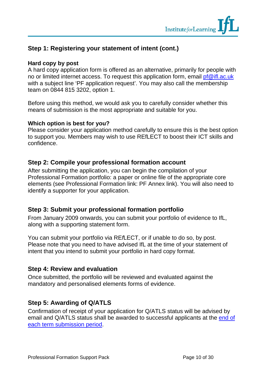# **Step 1: Registering your statement of intent (cont.)**

#### **Hard copy by post**

A hard copy application form is offered as an alternative, primarily for people with no or limited internet access. To request this application form, email pf@ifl.ac.uk with a subject line 'PF application request'. You may also call the membership team on 0844 815 3202, option 1.

Before using this method, we would ask you to carefully consider whether this means of submission is the most appropriate and suitable for you.

#### **Which option is best for you?**

Please consider your application method carefully to ensure this is the best option to support you. Members may wish to use REfLECT to boost their ICT skills and confidence.

### **Step 2: Compile your professional formation account**

After submitting the application, you can begin the compilation of your Professional Formation portfolio: a paper or online file of the appropriate core elements (see Professional Formation link: PF Annex link). You will also need to identify a supporter for your application.

### **Step 3: Submit your professional formation portfolio**

From January 2009 onwards, you can submit your portfolio of evidence to IfL, along with a supporting statement form.

You can submit your portfolio via RE*f*LECT, or if unable to do so, by post. Please note that you need to have advised IfL at the time of your statement of intent that you intend to submit your portfolio in hard copy format.

### **Step 4: Review and evaluation**

Once submitted, the portfolio will be reviewed and evaluated against the mandatory and personalised elements forms of evidence.

### **Step 5: Awarding of Q/ATLS**

Confirmation of receipt of your application for Q/ATLS status will be advised by [email and Q/ATLS status shall be awarded to successful applicants at the end of](#page-8-0)  each term submission period.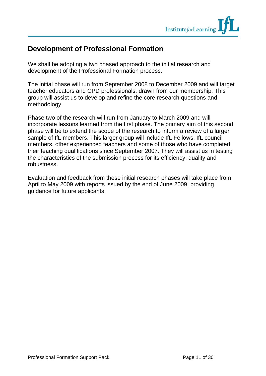

# <span id="page-10-0"></span>**Development of Professional Formation**

We shall be adopting a two phased approach to the initial research and development of the Professional Formation process.

The initial phase will run from September 2008 to December 2009 and will target teacher educators and CPD professionals, drawn from our membership. This group will assist us to develop and refine the core research questions and methodology.

Phase two of the research will run from January to March 2009 and will incorporate lessons learned from the first phase. The primary aim of this second phase will be to extend the scope of the research to inform a review of a larger sample of IfL members. This larger group will include IfL Fellows, IfL council members, other experienced teachers and some of those who have completed their teaching qualifications since September 2007. They will assist us in testing the characteristics of the submission process for its efficiency, quality and robustness.

Evaluation and feedback from these initial research phases will take place from April to May 2009 with reports issued by the end of June 2009, providing guidance for future applicants.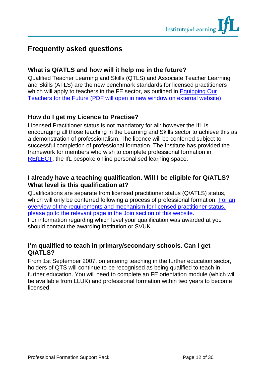# <span id="page-11-0"></span>**Frequently asked questions**

### **What is Q/ATLS and how will it help me in the future?**

Qualified Teacher Learning and Skills (QTLS) and Associate Teacher Learning and Skills (ATLS) are the new benchmark standards for licensed practitioners which will apply to teachers in the FE sector, as outlined in Equipping Our [Teachers for the Future \(PDF will open in new window on external website\)](http://www.dfes.gov.uk/furthereducation/uploads/documents/equippingourteachersforthefuture-115-161.pdf)

### **How do I get my Licence to Practise?**

Licensed Practitioner status is not mandatory for all: however the IfL is encouraging all those teaching in the Learning and Skills sector to achieve this as a demonstration of professionalism. The licence will be conferred subject to successful completion of professional formation. The Institute has provided the framework for members who wish to complete professional formation in REfLECT, the IfL bespoke online personalised learning space.

### **I already have a teaching qualification. Will I be eligible for Q/ATLS? What level is this qualification at?**

Qualifications are separate from licensed practitioner status (Q/ATLS) status, [which will only be conferred following a process of professional formation. For an](http://www.ifl.ac.uk/services/p_wwv_page?id=156&session_id=) overview of the requirements and mechanism for licensed practitioner status, please go to the relevant page in the Join section of this website. For information regarding which level your qualification was awarded at you should contact the awarding institution or SVUK.

### **I'm qualified to teach in primary/secondary schools. Can I get Q/ATLS?**

From 1st September 2007, on entering teaching in the further education sector, holders of QTS will continue to be recognised as being qualified to teach in further education. You will need to complete an FE orientation module (which will be available from LLUK) and professional formation within two years to become licensed.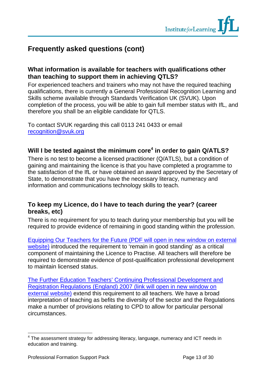# **Frequently asked questions (cont)**

### **What information is available for teachers with qualifications other than teaching to support them in achieving QTLS?**

For experienced teachers and trainers who may not have the required teaching qualifications, there is currently a General Professional Recognition Learning and Skills scheme available through Standards Verification UK (SVUK). Upon completion of the process, you will be able to gain full member status with IfL, and therefore you shall be an eligible candidate for QTLS.

To contact SVUK regarding this call 0113 241 0433 or email recognition@svuk.org

# **Will I be tested against the minimum core<sup>4</sup> in order to gain Q/ATLS?**

There is no test to become a licensed practitioner (Q/ATLS), but a condition of gaining and maintaining the licence is that you have completed a programme to the satisfaction of the IfL or have obtained an award approved by the Secretary of State, to demonstrate that you have the necessary literacy, numeracy and information and communications technology skills to teach.

# **To keep my Licence, do I have to teach during the year? (career breaks, etc)**

There is no requirement for you to teach during your membership but you will be required to provide evidence of remaining in good standing within the profession.

[Equipping Our Teachers for the Future \(PDF will open in new window on external](http://www.dfes.gov.uk/furthereducation/uploads/documents/equippingourteachersforthefuture-115-161.pdf)  website) introduced the requirement to 'remain in good standing' as a critical component of maintaining the Licence to Practise. All teachers will therefore be required to demonstrate evidence of post-qualification professional development to maintain licensed status.

[The Further Education Teachers' Continuing Professional Development and](http://www.opsi.gov.uk/si/si2007/uksi_20072116_en_1)  Registration Regulations (England) 2007 (link will open in new window on external website) extend this requirement to all teachers. We have a broad interpretation of teaching as befits the diversity of the sector and the Regulations make a number of provisions relating to CPD to allow for particular personal circumstances.

 $\overline{a}$ 

<sup>&</sup>lt;sup>4</sup> The assessment strategy for addressing literacy, language, numeracy and ICT needs in education and training.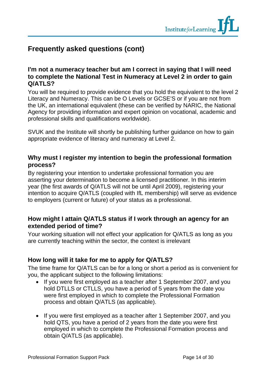

# **Frequently asked questions (cont)**

#### **I'm not a numeracy teacher but am I correct in saying that I will need to complete the National Test in Numeracy at Level 2 in order to gain Q/ATLS?**

You will be required to provide evidence that you hold the equivalent to the level 2 Literacy and Numeracy. This can be O Levels or GCSE'S or if you are not from the UK, an international equivalent (these can be verified by NARIC, the National Agency for providing information and expert opinion on vocational, academic and professional skills and qualifications worldwide).

SVUK and the Institute will shortly be publishing further guidance on how to gain appropriate evidence of literacy and numeracy at Level 2.

### **Why must I register my intention to begin the professional formation process?**

By registering your intention to undertake professional formation you are asserting your determination to become a licensed practitioner. In this interim year (the first awards of Q/ATLS will not be until April 2009), registering your intention to acquire Q/ATLS (coupled with IfL membership) will serve as evidence to employers (current or future) of your status as a professional.

### **How might I attain Q/ATLS status if I work through an agency for an extended period of time?**

Your working situation will not effect your application for Q/ATLS as long as you are currently teaching within the sector, the context is irrelevant

### **How long will it take for me to apply for Q/ATLS?**

The time frame for Q/ATLS can be for a long or short a period as is convenient for you, the applicant subject to the following limitations:

- If you were first employed as a teacher after 1 September 2007, and you hold DTLLS or CTLLS, you have a period of 5 years from the date you were first employed in which to complete the Professional Formation process and obtain Q/ATLS (as applicable).
- If you were first employed as a teacher after 1 September 2007, and you hold QTS, you have a period of 2 years from the date you were first employed in which to complete the Professional Formation process and obtain Q/ATLS (as applicable).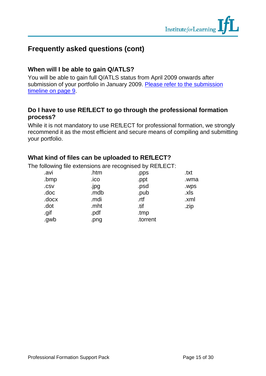# **Frequently asked questions (cont)**

### **When will I be able to gain Q/ATLS?**

You will be able to gain full Q/ATLS status from April 2009 onwards after submission of your portfolio in January 2009. Please refer to the submission timeline on page 9.

### **Do I have to use REfLECT to go through the professional formation process?**

While it is not mandatory to use REfLECT for professional formation, we strongly recommend it as the most efficient and secure means of compiling and submitting your portfolio.

# **What kind of files can be uploaded to REfLECT?**

The following file extensions are recognised by REfLECT:

| .avi  | .htm | .pps     | .txt |
|-------|------|----------|------|
| .bmp  | .ico | .ppt     | .wma |
| .CSV  | .jpg | .psd     | .wps |
| .doc  | .mdb | .pub     | .xls |
| .docx | .mdi | .rtf     | .xml |
| .dot  | .mht | .tif     | .zip |
| .gif  | .pdf | .tmp     |      |
| .gwb  | .png | .torrent |      |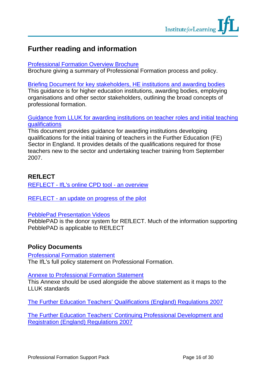# <span id="page-15-0"></span>**Further reading and information**

#### [Professional Formation Overview Brochure](http://www.ifl.ac.uk/services/docs/1257/ProfessionalFormationOverview.pdf)

Brochure giving a summary of Professional Formation process and policy.

[Briefing Document for key stakeholders, HE institutions and awarding bodies](http://www.ifl.ac.uk/services/docs/1287/Briefing_Paper_for_Stakeholders_Institutions_and_Awarding_Bodies.pdf)

This guidance is for higher education institutions, awarding bodies, employing organisations and other sector stakeholders, outlining the broad concepts of professional formation.

#### [Guidance from LLUK for awarding institutions on teacher roles and initial teaching](http://www.lluk.org/documents/ai_guidance_aug07_version3.pdf) qualifications

This document provides guidance for awarding institutions developing qualifications for the initial training of teachers in the Further Education (FE) Sector in England. It provides details of the qualifications required for those teachers new to the sector and undertaking teacher training from September 2007.

# **REfLECT**

[REFLECT - IfL's online CPD tool - an overview](http://www.ifl.ac.uk/services/docs/682/IfL%20Reflect%20Overview.ppt)

[REFLECT - an update on progress of the pilot](http://www.pebbleweb.co.uk/ifl/viewasset.aspx?oid=567&type=webfolio)

#### [PebblePad Presentation Videos](http://www.pebblelearning.co.uk/help.asp##)

PebblePAD is the donor system for REfLECT. Much of the information supporting PebblePAD is applicable to REfLECT

### **Policy Documents**

#### [Professional Formation statement](http://www.ifl.ac.uk/services/docs/1248/ProfessionalFormationStatement.pdf)

The IfL's full policy statement on Professional Formation.

#### **[Annexe to Professional Formation Statement](http://www.ifl.ac.uk/services/docs/1247/ProfessionalFormationAnnexeA.pdf)**

This Annexe should be used alongside the above statement as it maps to the LLUK standards

[The Further Education Teachers' Qualifications \(England\) Regulations 2007](http://www.opsi.gov.uk/si/si2007/uksi_20072264_en_1)

[The Further Education Teachers' Continuing Professional Development and](http://www.opsi.gov.uk/si/si2007/uksi_20072116_en_1)  Registration (England) Regulations 2007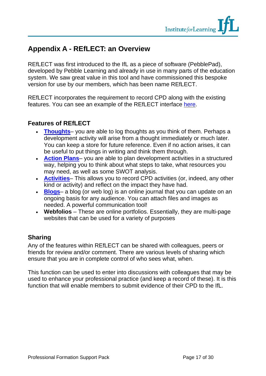# <span id="page-16-0"></span>**Appendix A - REfLECT: an Overview**

REfLECT was first introduced to the IfL as a piece of software (PebblePad), developed by Pebble Learning and already in use in many parts of the education system. We saw great value in this tool and have commissioned this bespoke version for use by our members, which has been name REfLECT.

REfLECT incorporates the requirement to record CPD along with the existing features. You can see an example of the REfLECT interface here.

# **Features of REfLECT**

- **Thoughts** you are able to log thoughts as you think of them. Perhaps a development activity will arise from a thought immediately or much later. You can keep a store for future reference. Even if no action arises, it can be useful to put things in writing and think them through.
- **Action Plans** you are able to plan development activities in a structured way, helping you to think about what steps to take, what resources you may need, as well as some SWOT analysis.
- **Activities** This allows you to record CPD activities (or, indeed, any other kind or activity) and reflect on the impact they have had.
- **Blogs** a blog (or web log) is an online journal that you can update on an ongoing basis for any audience. You can attach files and images as needed. A powerful communication tool!
- **Webfolios** These are online portfolios. Essentially, they are multi-page websites that can be used for a variety of purposes

# **Sharing**

Any of the features within REfLECT can be shared with colleagues, peers or friends for review and/or comment. There are various levels of sharing which ensure that you are in complete control of who sees what, when.

This function can be used to enter into discussions with colleagues that may be used to enhance your professional practice (and keep a record of these). It is this function that will enable members to submit evidence of their CPD to the IfL.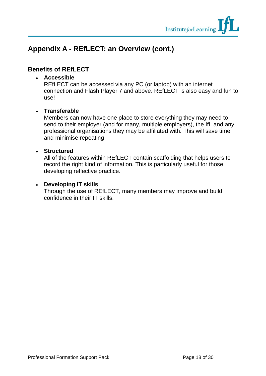

# **Appendix A - REfLECT: an Overview (cont.)**

### **Benefits of REfLECT**

#### • **Accessible**

REfLECT can be accessed via any PC (or laptop) with an internet connection and Flash Player 7 and above. REfLECT is also easy and fun to use!

#### • **Transferable**

Members can now have one place to store everything they may need to send to their employer (and for many, multiple employers), the IfL and any professional organisations they may be affiliated with. This will save time and minimise repeating

#### • **Structured**

All of the features within REfLECT contain scaffolding that helps users to record the right kind of information. This is particularly useful for those developing reflective practice.

#### • **Developing IT skills**

Through the use of REfLECT, many members may improve and build confidence in their IT skills.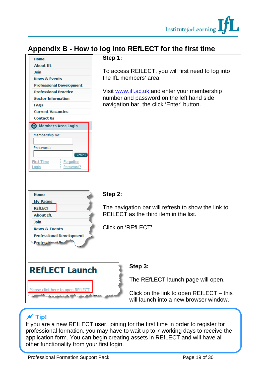

# <span id="page-18-0"></span>**Appendix B - How to log into REfLECT for the first time**



# a **Tip!**

If you are a new REfLECT user, joining for the first time in order to register for professional formation, you may have to wait up to 7 working days to receive the application form. You can begin creating assets in REfLECT and will have all other functionality from your first login.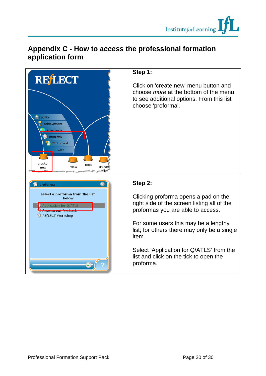

# **Appendix C - How to access the professional formation application form**

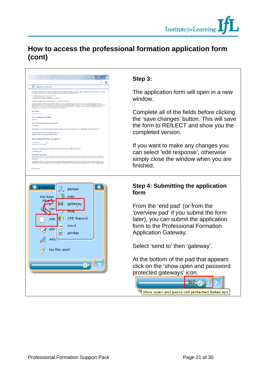# **How to access the professional formation application form (cont)**

| Œ.<br><b>Application for Q/ATLS</b>                                                                                                                                                                                                                                                                                                                                                                                                    |  |
|----------------------------------------------------------------------------------------------------------------------------------------------------------------------------------------------------------------------------------------------------------------------------------------------------------------------------------------------------------------------------------------------------------------------------------------|--|
| In order to indicate that you wish to commence the Professional Formation process, please complete this form and return it to the                                                                                                                                                                                                                                                                                                      |  |
| If. Please ensure that you have read these documents before completing this form:                                                                                                                                                                                                                                                                                                                                                      |  |
| - Professional Formation Overview Brochure<br>- Professional Romation statement.<br>- Annexe to the Professional Formation Statement                                                                                                                                                                                                                                                                                                   |  |
| These are evalable from the 25 wabsite at: www.25.ac.uk/services                                                                                                                                                                                                                                                                                                                                                                       |  |
| These documents will help you determine whether you will be eligible to apply for CITLS or ATLS. Generally speaking those 31.<br>rembes with CFLLS (or equivalent) who have been granted Herber grade can apply for CFLS - those IA, members with CFLLS (or<br>equivalent) who have been awarded Association grade can apply for ATLS. IA, members who have been a<br>should ask for confirmation of which at atus they can apply for. |  |
| <b>Tour name:</b>                                                                                                                                                                                                                                                                                                                                                                                                                      |  |
| Share Sutherland                                                                                                                                                                                                                                                                                                                                                                                                                       |  |
| Your Ift. Membership Number:                                                                                                                                                                                                                                                                                                                                                                                                           |  |
| A200345                                                                                                                                                                                                                                                                                                                                                                                                                                |  |
| Date first teaching position commenced:                                                                                                                                                                                                                                                                                                                                                                                                |  |
| 11/03/1998                                                                                                                                                                                                                                                                                                                                                                                                                             |  |
|                                                                                                                                                                                                                                                                                                                                                                                                                                        |  |
| I intend to commence the Professional Formation process, in respect of an application for the status of:                                                                                                                                                                                                                                                                                                                               |  |
| Qualified Teacher Learning and Skills (QTLS)                                                                                                                                                                                                                                                                                                                                                                                           |  |
| Associate Teacher Learning and Skifa (ATLS)                                                                                                                                                                                                                                                                                                                                                                                            |  |
| Please confirm which status I can apply for:                                                                                                                                                                                                                                                                                                                                                                                           |  |
| <b>Please</b> cardinm                                                                                                                                                                                                                                                                                                                                                                                                                  |  |
| Confirmation not required                                                                                                                                                                                                                                                                                                                                                                                                              |  |
|                                                                                                                                                                                                                                                                                                                                                                                                                                        |  |
| 1 intend to undertake the Professional Formation process with effect from:<br>01 Saterday 2008                                                                                                                                                                                                                                                                                                                                         |  |
|                                                                                                                                                                                                                                                                                                                                                                                                                                        |  |
| So hash sion Declaration<br>I understend that if I was first employed as a teacher after 1 September 2007, and I hold OTLLS in CTLLS, I have a period of S.                                                                                                                                                                                                                                                                            |  |
| years from the date I was first employed in which to complete the Professional Formation process and obtain QTLS or ATLS (as<br>applicable).                                                                                                                                                                                                                                                                                           |  |
| I understand that if I was first amployed as a teacher after 1 September 2007, and I hold QTS, I have a period of 2 years from                                                                                                                                                                                                                                                                                                         |  |
| the date I was first employed in which to complete the Professional Formation process and obtain QTLS or ATLS (as applicable).                                                                                                                                                                                                                                                                                                         |  |
|                                                                                                                                                                                                                                                                                                                                                                                                                                        |  |
| <b>Edit Response</b>                                                                                                                                                                                                                                                                                                                                                                                                                   |  |
|                                                                                                                                                                                                                                                                                                                                                                                                                                        |  |
|                                                                                                                                                                                                                                                                                                                                                                                                                                        |  |
|                                                                                                                                                                                                                                                                                                                                                                                                                                        |  |
|                                                                                                                                                                                                                                                                                                                                                                                                                                        |  |
|                                                                                                                                                                                                                                                                                                                                                                                                                                        |  |
| proforma                                                                                                                                                                                                                                                                                                                                                                                                                               |  |
| person                                                                                                                                                                                                                                                                                                                                                                                                                                 |  |
|                                                                                                                                                                                                                                                                                                                                                                                                                                        |  |

**HILL** 

tag this asset

sen

add

gateway bioa

CPD Record

word

printer

#### **Step 3:**

The application form will open in a new window.

Complete all of the fields before clicking the 'save changes' button. This will save the form to REfLECT and show you the completed version.

If you want to make any changes you can select 'edit response', otherwise simply close the window when you are finished.

#### **Step 4: Submitting the application form**

From the 'end pad' (or from the 'overview pad' if you submit the form later), you can submit the application form to the Professional Formation Application Gateway.

Select 'send to' then 'gateway'.

At the bottom of the pad that appears click on the 'show open and password protected gateways' icon.

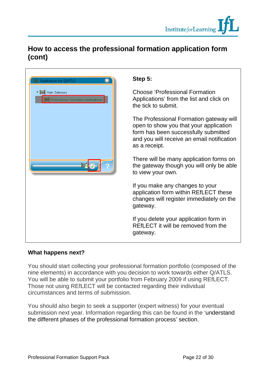# **How to access the professional formation application form (cont)**

|                                                                                            | S                              |
|--------------------------------------------------------------------------------------------|--------------------------------|
| Application for Q/ATLS<br>▼     Main Gateway<br><b>Professional Formation Applications</b> | $\mathsf C$<br>A<br>th         |
|                                                                                            | TI<br>Οļ<br>fo<br>ar<br>a.     |
| 殿                                                                                          | TI<br>th<br>to                 |
|                                                                                            | lf<br>a<br>$\mathsf{c}$ ł<br>g |
|                                                                                            | lf<br>R<br>g                   |

### **Step 5:**

**hoose 'Professional Formation'** pplications' from the list and click on e tick to submit.

he Professional Formation gateway will pen to show you that your application orm has been successfully submitted nd you will receive an email notification s a receipt.

here will be many application forms on e gateway though you will only be able view your own.

you make any changes to your application form within REfLECT these nanges will register immediately on the ateway.

you delete your application form in EfLECT it will be removed from the ateway.

### **What happens next?**

You should start collecting your professional formation portfolio (composed of the nine elements) in accordance with you decision to work towards either Q/ATLS. You will be able to submit your portfolio from February 2009 if using REfLECT. Those not using REfLECT will be contacted regarding their individual circumstances and terms of submission.

You should also begin to seek a supporter (expert witness) for your eventual submission next year. Information regarding this can be found in the 'understand the different phases of the professional formation process' section.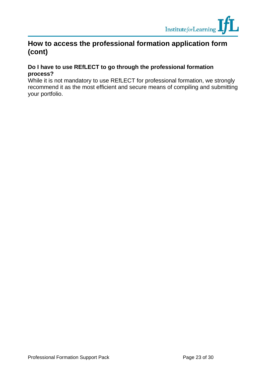

# <span id="page-22-0"></span>**How to access the professional formation application form (cont)**

#### **Do I have to use REfLECT to go through the professional formation process?**

While it is not mandatory to use REfLECT for professional formation, we strongly recommend it as the most efficient and secure means of compiling and submitting your portfolio.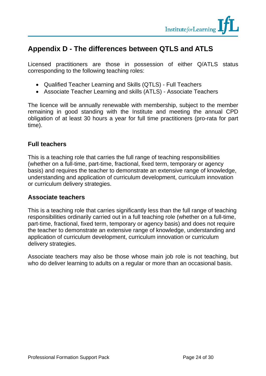

# **Appendix D - The differences between QTLS and ATLS**

Licensed practitioners are those in possession of either Q/ATLS status corresponding to the following teaching roles:

- Qualified Teacher Learning and Skills (QTLS) Full Teachers
- Associate Teacher Learning and skills (ATLS) Associate Teachers

The licence will be annually renewable with membership, subject to the member remaining in good standing with the Institute and meeting the annual CPD obligation of at least 30 hours a year for full time practitioners (pro-rata for part time).

#### **Full teachers**

This is a teaching role that carries the full range of teaching responsibilities (whether on a full-time, part-time, fractional, fixed term, temporary or agency basis) and requires the teacher to demonstrate an extensive range of knowledge, understanding and application of curriculum development, curriculum innovation or curriculum delivery strategies.

#### **Associate teachers**

This is a teaching role that carries significantly less than the full range of teaching responsibilities ordinarily carried out in a full teaching role (whether on a full-time, part-time, fractional, fixed term, temporary or agency basis) and does not require the teacher to demonstrate an extensive range of knowledge, understanding and application of curriculum development, curriculum innovation or curriculum delivery strategies.

Associate teachers may also be those whose main job role is not teaching, but who do deliver learning to adults on a regular or more than an occasional basis.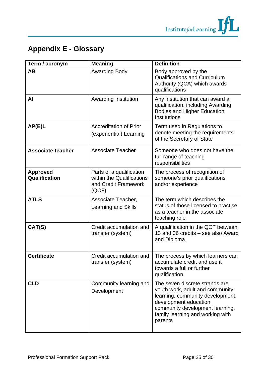

<span id="page-24-0"></span>

| Term / acronym                   | <b>Meaning</b>                                                                         | <b>Definition</b>                                                                                                                                                                                                 |
|----------------------------------|----------------------------------------------------------------------------------------|-------------------------------------------------------------------------------------------------------------------------------------------------------------------------------------------------------------------|
| <b>AB</b>                        | <b>Awarding Body</b>                                                                   | Body approved by the<br><b>Qualifications and Curriculum</b><br>Authority (QCA) which awards<br>qualifications                                                                                                    |
| AI                               | <b>Awarding Institution</b>                                                            | Any institution that can award a<br>qualification, including Awarding<br><b>Bodies and Higher Education</b><br>Institutions                                                                                       |
| AP(E)L                           | <b>Accreditation of Prior</b><br>(experiential) Learning                               | Term used in Regulations to<br>denote meeting the requirements<br>of the Secretary of State                                                                                                                       |
| <b>Associate teacher</b>         | <b>Associate Teacher</b>                                                               | Someone who does not have the<br>full range of teaching<br>responsibilities                                                                                                                                       |
| <b>Approved</b><br>Qualification | Parts of a qualification<br>within the Qualifications<br>and Credit Framework<br>(QCF) | The process of recognition of<br>someone's prior qualifications<br>and/or experience                                                                                                                              |
| <b>ATLS</b>                      | Associate Teacher,<br><b>Learning and Skills</b>                                       | The term which describes the<br>status of those licensed to practise<br>as a teacher in the associate<br>teaching role                                                                                            |
| CAT(S)                           | Credit accumulation and<br>transfer (system)                                           | A qualification in the QCF between<br>13 and 36 credits - see also Award<br>and Diploma                                                                                                                           |
| <b>Certificate</b>               | Credit accumulation and<br>transfer (system)                                           | The process by which learners can<br>accumulate credit and use it<br>towards a full or further<br>qualification                                                                                                   |
| <b>CLD</b>                       | Community learning and<br>Development                                                  | The seven discrete strands are<br>youth work, adult and community<br>learning, community development,<br>development education,<br>community development learning,<br>family learning and working with<br>parents |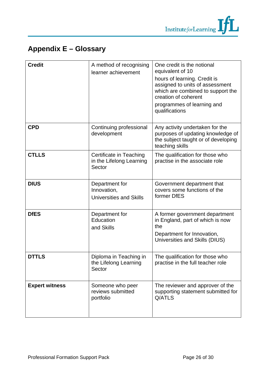

| <b>Credit</b>         | A method of recognising<br>learner achievement                  | One credit is the notional<br>equivalent of 10<br>hours of learning. Credit is<br>assigned to units of assessment<br>which are combined to support the<br>creation of coherent<br>programmes of learning and<br>qualifications |
|-----------------------|-----------------------------------------------------------------|--------------------------------------------------------------------------------------------------------------------------------------------------------------------------------------------------------------------------------|
| <b>CPD</b>            | Continuing professional<br>development                          | Any activity undertaken for the<br>purposes of updating knowledge of<br>the subject taught or of developing<br>teaching skills                                                                                                 |
| <b>CTLLS</b>          | Certificate in Teaching<br>in the Lifelong Learning<br>Sector   | The qualification for those who<br>practise in the associate role                                                                                                                                                              |
| <b>DIUS</b>           | Department for<br>Innovation,<br><b>Universities and Skills</b> | Government department that<br>covers some functions of the<br>former DfES                                                                                                                                                      |
| <b>DfES</b>           | Department for<br>Education<br>and Skills                       | A former government department<br>in England, part of which is now<br>the<br>Department for Innovation,<br>Universities and Skills (DIUS)                                                                                      |
| <b>DTTLS</b>          | Diploma in Teaching in<br>the Lifelong Learning<br>Sector       | The qualification for those who<br>practise in the full teacher role                                                                                                                                                           |
| <b>Expert witness</b> | Someone who peer<br>reviews submitted<br>portfolio              | The reviewer and approver of the<br>supporting statement submitted for<br>Q/ATLS                                                                                                                                               |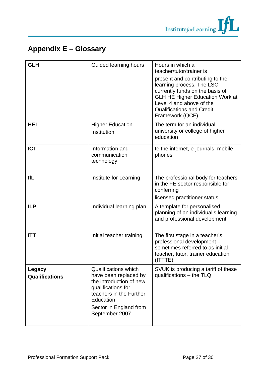

| <b>GLH</b>                      | Guided learning hours                                                                                                                                                                     | Hours in which a<br>teacher/tutor/trainer is<br>present and contributing to the<br>learning process. The LSC<br>currently funds on the basis of<br><b>GLH HE Higher Education Work at</b><br>Level 4 and above of the<br><b>Qualifications and Credit</b><br>Framework (QCF) |
|---------------------------------|-------------------------------------------------------------------------------------------------------------------------------------------------------------------------------------------|------------------------------------------------------------------------------------------------------------------------------------------------------------------------------------------------------------------------------------------------------------------------------|
| <b>HEI</b>                      | <b>Higher Education</b><br>Institution                                                                                                                                                    | The term for an individual<br>university or college of higher<br>education                                                                                                                                                                                                   |
| <b>ICT</b>                      | Information and<br>communication<br>technology                                                                                                                                            | le the internet, e-journals, mobile<br>phones                                                                                                                                                                                                                                |
| <b>IfL</b>                      | Institute for Learning                                                                                                                                                                    | The professional body for teachers<br>in the FE sector responsible for<br>conferring<br>licensed practitioner status                                                                                                                                                         |
| <b>ILP</b>                      | Individual learning plan                                                                                                                                                                  | A template for personalised<br>planning of an individual's learning<br>and professional development                                                                                                                                                                          |
| <b>ITT</b>                      | Initial teacher training                                                                                                                                                                  | The first stage in a teacher's<br>professional development -<br>sometimes referred to as initial<br>teacher, tutor, trainer education<br>(ITTTE)                                                                                                                             |
| Legacy<br><b>Qualifications</b> | <b>Qualifications which</b><br>have been replaced by<br>the introduction of new<br>qualifications for<br>teachers in the Further<br>Education<br>Sector in England from<br>September 2007 | SVUK is producing a tariff of these<br>qualifications - the TLQ                                                                                                                                                                                                              |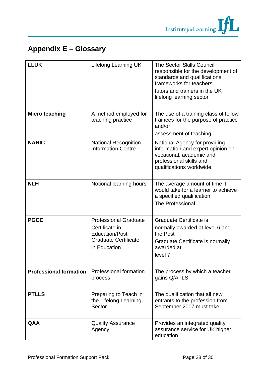

| <b>LLUK</b>                   | Lifelong Learning UK                                                                                                   | <b>The Sector Skills Council</b><br>responsible for the development of<br>standards and qualifications<br>frameworks for teachers,<br>tutors and trainers in the UK<br>lifelong learning sector |
|-------------------------------|------------------------------------------------------------------------------------------------------------------------|-------------------------------------------------------------------------------------------------------------------------------------------------------------------------------------------------|
| <b>Micro teaching</b>         | A method employed for<br>teaching practice                                                                             | The use of a training class of fellow<br>trainees for the purpose of practice<br>and/or<br>assessment of teaching                                                                               |
| <b>NARIC</b>                  | <b>National Recognition</b><br><b>Information Centre</b>                                                               | National Agency for providing<br>information and expert opinion on<br>vocational, academic and<br>professional skills and<br>qualifications worldwide.                                          |
| <b>NLH</b>                    | Notional learning hours                                                                                                | The average amount of time it<br>would take for a learner to achieve<br>a specified qualification<br><b>The Professional</b>                                                                    |
| <b>PGCE</b>                   | <b>Professional Graduate</b><br>Certificate in<br><b>Education/Post</b><br><b>Graduate Certificate</b><br>in Education | Graduate Certificate is<br>normally awarded at level 6 and<br>the Post<br>Graduate Certificate is normally<br>awarded at<br>level 7                                                             |
| <b>Professional formation</b> | Professional formation<br>process                                                                                      | The process by which a teacher<br>gains Q/ATLS                                                                                                                                                  |
| <b>PTLLS</b>                  | Preparing to Teach in<br>the Lifelong Learning<br>Sector                                                               | The qualification that all new<br>entrants to the profession from<br>September 2007 must take                                                                                                   |
| <b>QAA</b>                    | <b>Quality Assurance</b><br>Agency                                                                                     | Provides an integrated quality<br>assurance service for UK higher<br>education                                                                                                                  |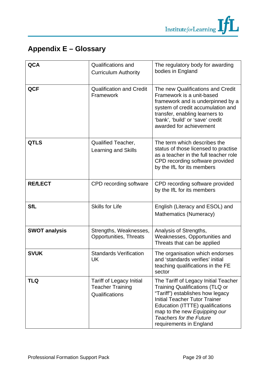

| <b>QCA</b>           | <b>Qualifications and</b><br><b>Curriculum Authority</b>                     | The regulatory body for awarding<br>bodies in England                                                                                                                                                                                                                                       |
|----------------------|------------------------------------------------------------------------------|---------------------------------------------------------------------------------------------------------------------------------------------------------------------------------------------------------------------------------------------------------------------------------------------|
| <b>QCF</b>           | <b>Qualification and Credit</b><br>Framework                                 | The new Qualifications and Credit<br>Framework is a unit-based<br>framework and is underpinned by a<br>system of credit accumulation and<br>transfer, enabling learners to<br>'bank', 'build' or 'save' credit<br>awarded for achievement                                                   |
| <b>QTLS</b>          | <b>Qualified Teacher,</b><br>Learning and Skills                             | The term which describes the<br>status of those licensed to practise<br>as a teacher in the full teacher role<br>CPD recording software provided<br>by the IfL for its members                                                                                                              |
| <b>REALECT</b>       | CPD recording software                                                       | CPD recording software provided<br>by the IfL for its members                                                                                                                                                                                                                               |
| <b>SfL</b>           | <b>Skills for Life</b>                                                       | English (Literacy and ESOL) and<br>Mathematics (Numeracy)                                                                                                                                                                                                                                   |
| <b>SWOT analysis</b> | Strengths, Weaknesses,<br>Opportunities, Threats                             | Analysis of Strengths,<br>Weaknesses, Opportunities and<br>Threats that can be applied                                                                                                                                                                                                      |
| <b>SVUK</b>          | <b>Standards Verification</b><br>UK                                          | The organisation which endorses<br>and 'standards verifies' initial<br>teaching qualifications in the FE<br>sector                                                                                                                                                                          |
| <b>TLQ</b>           | <b>Tariff of Legacy Initial</b><br><b>Teacher Training</b><br>Qualifications | The Tariff of Legacy Initial Teacher<br><b>Training Qualifications (TLQ or</b><br>"Tariff") establishes how legacy<br><b>Initial Teacher Tutor Trainer</b><br>Education (ITTTE) qualifications<br>map to the new Equipping our<br><b>Teachers for the Future</b><br>requirements in England |